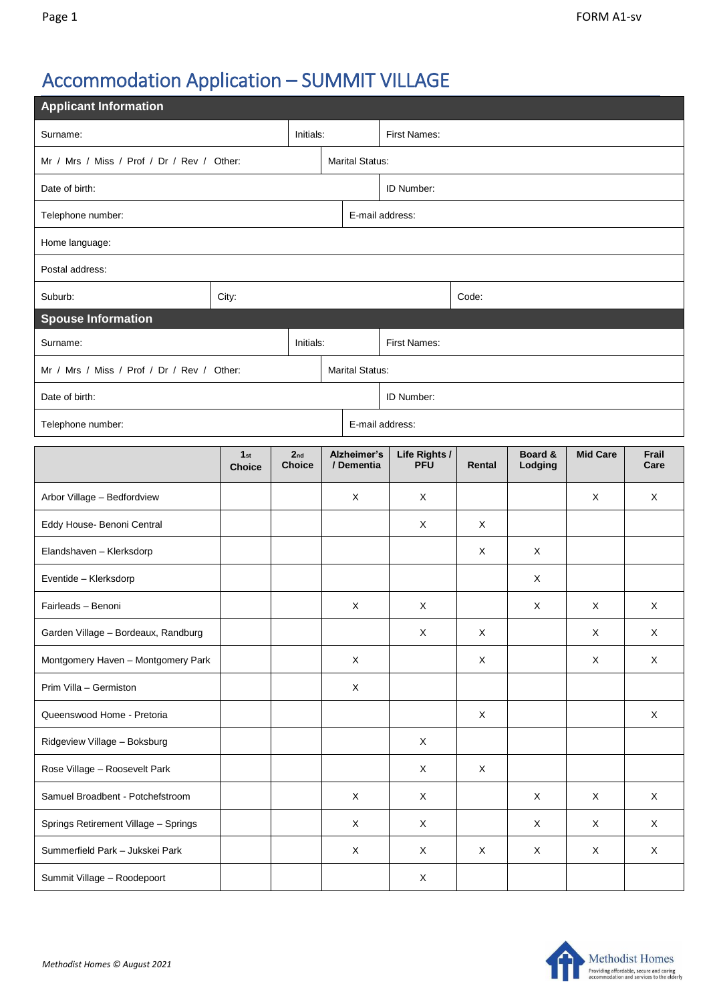## Accommodation Application – SUMMIT VILLAGE

| <b>Applicant Information</b>               |                      |                                  |  |                           |                             |             |                    |                 |               |  |  |
|--------------------------------------------|----------------------|----------------------------------|--|---------------------------|-----------------------------|-------------|--------------------|-----------------|---------------|--|--|
| Initials:<br>Surname:                      |                      |                                  |  | First Names:              |                             |             |                    |                 |               |  |  |
| Mr / Mrs / Miss / Prof / Dr / Rev / Other: |                      |                                  |  | <b>Marital Status:</b>    |                             |             |                    |                 |               |  |  |
| Date of birth:                             |                      |                                  |  | ID Number:                |                             |             |                    |                 |               |  |  |
| Telephone number:                          |                      |                                  |  | E-mail address:           |                             |             |                    |                 |               |  |  |
| Home language:                             |                      |                                  |  |                           |                             |             |                    |                 |               |  |  |
| Postal address:                            |                      |                                  |  |                           |                             |             |                    |                 |               |  |  |
| Suburb:                                    | City:                |                                  |  |                           |                             | Code:       |                    |                 |               |  |  |
| <b>Spouse Information</b>                  |                      |                                  |  |                           |                             |             |                    |                 |               |  |  |
| Initials:<br>Surname:                      |                      |                                  |  | First Names:              |                             |             |                    |                 |               |  |  |
| Mr / Mrs / Miss / Prof / Dr / Rev / Other: |                      |                                  |  | <b>Marital Status:</b>    |                             |             |                    |                 |               |  |  |
| Date of birth:                             |                      |                                  |  | ID Number:                |                             |             |                    |                 |               |  |  |
| E-mail address:<br>Telephone number:       |                      |                                  |  |                           |                             |             |                    |                 |               |  |  |
|                                            | 1st<br><b>Choice</b> | 2 <sub>nd</sub><br><b>Choice</b> |  | Alzheimer's<br>/ Dementia | Life Rights /<br><b>PFU</b> | Rental      | Board &<br>Lodging | <b>Mid Care</b> | Frail<br>Care |  |  |
| Arbor Village - Bedfordview                |                      |                                  |  | X                         | X                           |             |                    | X               | X             |  |  |
| Eddy House- Benoni Central                 |                      |                                  |  |                           | X                           | X           |                    |                 |               |  |  |
| Elandshaven - Klerksdorp                   |                      |                                  |  |                           |                             | Χ           | X                  |                 |               |  |  |
| Eventide - Klerksdorp                      |                      |                                  |  |                           |                             |             | X                  |                 |               |  |  |
| Fairleads - Benoni                         |                      |                                  |  | X                         | X                           |             | X                  | X               | X             |  |  |
| Garden Village - Bordeaux, Randburg        |                      |                                  |  |                           | X                           | $\mathsf X$ |                    | $\mathsf X$     | $\mathsf X$   |  |  |
| Montgomery Haven - Montgomery Park         |                      |                                  |  | $\mathsf X$               |                             | X           |                    | X               | $\mathsf X$   |  |  |
| Prim Villa - Germiston                     |                      |                                  |  | X                         |                             |             |                    |                 |               |  |  |
| Queenswood Home - Pretoria                 |                      |                                  |  |                           |                             | X           |                    |                 | $\mathsf{X}$  |  |  |
| Ridgeview Village - Boksburg               |                      |                                  |  |                           | $\mathsf X$                 |             |                    |                 |               |  |  |
| Rose Village - Roosevelt Park              |                      |                                  |  |                           | $\mathsf X$                 | $\mathsf X$ |                    |                 |               |  |  |
| Samuel Broadbent - Potchefstroom           |                      |                                  |  | X                         | X                           |             | $\times$           | $\mathsf{X}$    | $\mathsf X$   |  |  |
| Springs Retirement Village - Springs       |                      |                                  |  | X                         | X                           |             | X                  | X               | X             |  |  |
| Summerfield Park - Jukskei Park            |                      |                                  |  | X                         | X                           | X           | X                  | X               | $\mathsf X$   |  |  |
| Summit Village - Roodepoort                |                      |                                  |  |                           | X                           |             |                    |                 |               |  |  |

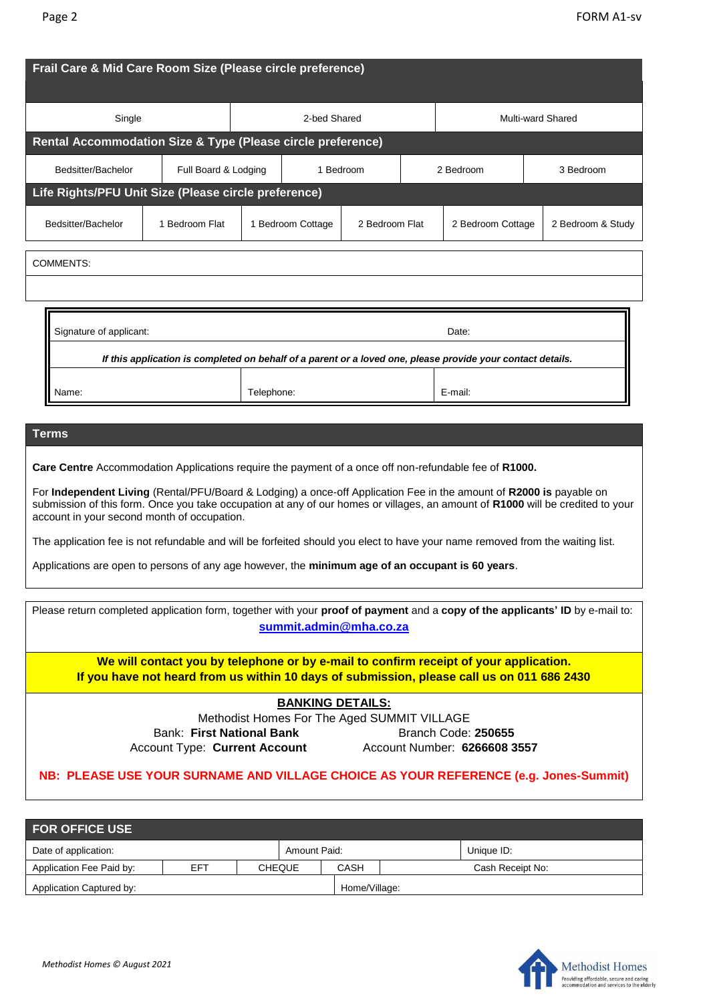| Single                                                                                                                                                                                                                                                                                                                                                                                                                                                                                                                                         |                                   | 2-bed Shared |                   |                | <b>Multi-ward Shared</b> |                   |           |                   |  |
|------------------------------------------------------------------------------------------------------------------------------------------------------------------------------------------------------------------------------------------------------------------------------------------------------------------------------------------------------------------------------------------------------------------------------------------------------------------------------------------------------------------------------------------------|-----------------------------------|--------------|-------------------|----------------|--------------------------|-------------------|-----------|-------------------|--|
| Rental Accommodation Size & Type (Please circle preference)                                                                                                                                                                                                                                                                                                                                                                                                                                                                                    |                                   |              |                   |                |                          |                   |           |                   |  |
| Bedsitter/Bachelor                                                                                                                                                                                                                                                                                                                                                                                                                                                                                                                             | Full Board & Lodging<br>1 Bedroom |              |                   |                | 2 Bedroom                |                   | 3 Bedroom |                   |  |
| Life Rights/PFU Unit Size (Please circle preference)                                                                                                                                                                                                                                                                                                                                                                                                                                                                                           |                                   |              |                   |                |                          |                   |           |                   |  |
| Bedsitter/Bachelor                                                                                                                                                                                                                                                                                                                                                                                                                                                                                                                             | 1 Bedroom Flat                    |              | 1 Bedroom Cottage | 2 Bedroom Flat |                          | 2 Bedroom Cottage |           | 2 Bedroom & Study |  |
| <b>COMMENTS:</b>                                                                                                                                                                                                                                                                                                                                                                                                                                                                                                                               |                                   |              |                   |                |                          |                   |           |                   |  |
|                                                                                                                                                                                                                                                                                                                                                                                                                                                                                                                                                |                                   |              |                   |                |                          |                   |           |                   |  |
| Signature of applicant:<br>Date:<br>If this application is completed on behalf of a parent or a loved one, please provide your contact details.                                                                                                                                                                                                                                                                                                                                                                                                |                                   |              |                   |                |                          |                   |           |                   |  |
|                                                                                                                                                                                                                                                                                                                                                                                                                                                                                                                                                |                                   |              |                   |                |                          |                   |           |                   |  |
| Name:                                                                                                                                                                                                                                                                                                                                                                                                                                                                                                                                          |                                   | Telephone:   |                   |                |                          | E-mail:           |           |                   |  |
| <b>Terms</b>                                                                                                                                                                                                                                                                                                                                                                                                                                                                                                                                   |                                   |              |                   |                |                          |                   |           |                   |  |
|                                                                                                                                                                                                                                                                                                                                                                                                                                                                                                                                                |                                   |              |                   |                |                          |                   |           |                   |  |
| Care Centre Accommodation Applications require the payment of a once off non-refundable fee of R1000.<br>For Independent Living (Rental/PFU/Board & Lodging) a once-off Application Fee in the amount of R2000 is payable on<br>submission of this form. Once you take occupation at any of our homes or villages, an amount of R1000 will be credited to your<br>account in your second month of occupation.<br>The application fee is not refundable and will be forfeited should you elect to have your name removed from the waiting list. |                                   |              |                   |                |                          |                   |           |                   |  |

| Please return completed application form, together with your proof of payment and a copy of the applicants' ID by e-mail to: | summit.admin@mha.co.za                                                                                                                                                              |  |  |  |  |  |  |  |
|------------------------------------------------------------------------------------------------------------------------------|-------------------------------------------------------------------------------------------------------------------------------------------------------------------------------------|--|--|--|--|--|--|--|
|                                                                                                                              | We will contact you by telephone or by e-mail to confirm receipt of your application.<br>If you have not heard from us within 10 days of submission, please call us on 011 686 2430 |  |  |  |  |  |  |  |
|                                                                                                                              | <b>BANKING DETAILS:</b>                                                                                                                                                             |  |  |  |  |  |  |  |
| Methodist Homes For The Aged SUMMIT VILLAGE                                                                                  |                                                                                                                                                                                     |  |  |  |  |  |  |  |
| Bank: First National Bank                                                                                                    | Branch Code: 250655                                                                                                                                                                 |  |  |  |  |  |  |  |
| <b>Account Type: Current Account</b>                                                                                         | Account Number: 6266608 3557                                                                                                                                                        |  |  |  |  |  |  |  |
|                                                                                                                              | NB: PLEASE USE YOUR SURNAME AND VILLAGE CHOICE AS YOUR REFERENCE (e.g. Jones-Summit)                                                                                                |  |  |  |  |  |  |  |

| <b>FOR OFFICE USE</b>                |     |  |               |               |            |                  |  |  |  |
|--------------------------------------|-----|--|---------------|---------------|------------|------------------|--|--|--|
| Date of application:<br>Amount Paid: |     |  |               |               | Unique ID: |                  |  |  |  |
| Application Fee Paid by:             | EFT |  | <b>CHEQUE</b> | CASH          |            | Cash Receipt No: |  |  |  |
| Application Captured by:             |     |  |               | Home/Village: |            |                  |  |  |  |

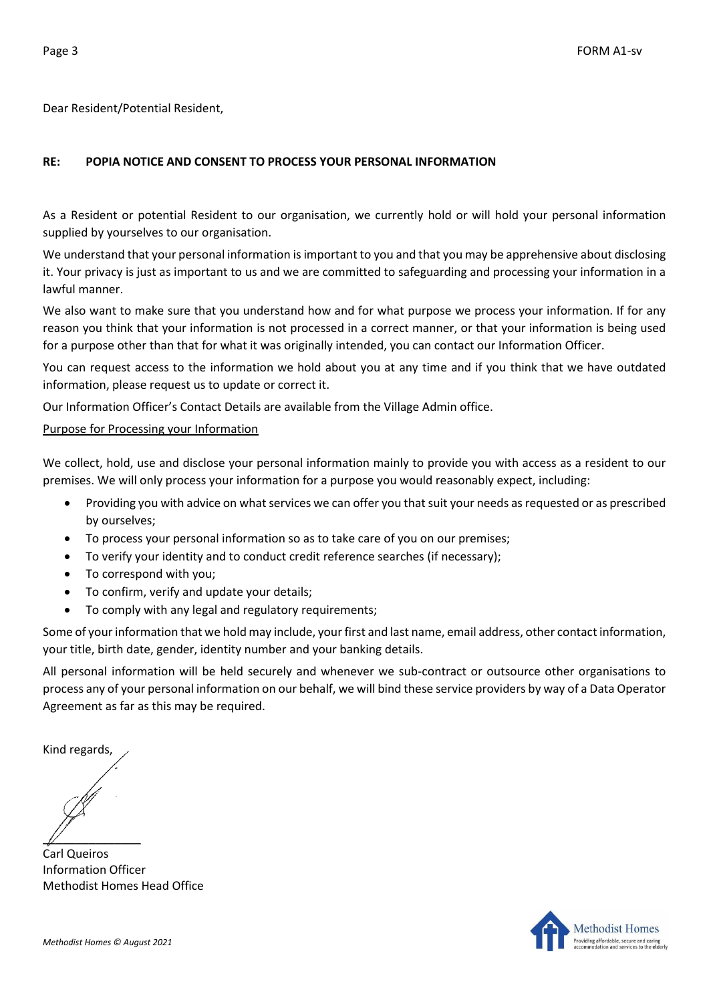Dear Resident/Potential Resident,

## **RE: POPIA NOTICE AND CONSENT TO PROCESS YOUR PERSONAL INFORMATION**

As a Resident or potential Resident to our organisation, we currently hold or will hold your personal information supplied by yourselves to our organisation.

We understand that your personal information is important to you and that you may be apprehensive about disclosing it. Your privacy is just as important to us and we are committed to safeguarding and processing your information in a lawful manner.

We also want to make sure that you understand how and for what purpose we process your information. If for any reason you think that your information is not processed in a correct manner, or that your information is being used for a purpose other than that for what it was originally intended, you can contact our Information Officer.

You can request access to the information we hold about you at any time and if you think that we have outdated information, please request us to update or correct it.

Our Information Officer's Contact Details are available from the Village Admin office.

## Purpose for Processing your Information

We collect, hold, use and disclose your personal information mainly to provide you with access as a resident to our premises. We will only process your information for a purpose you would reasonably expect, including:

- Providing you with advice on what services we can offer you that suit your needs as requested or as prescribed by ourselves;
- To process your personal information so as to take care of you on our premises;
- To verify your identity and to conduct credit reference searches (if necessary);
- To correspond with you;
- To confirm, verify and update your details;
- To comply with any legal and regulatory requirements;

Some of your information that we hold may include, your first and last name, email address, other contact information, your title, birth date, gender, identity number and your banking details.

All personal information will be held securely and whenever we sub-contract or outsource other organisations to process any of your personal information on our behalf, we will bind these service providers by way of a Data Operator Agreement as far as this may be required.

Kind regards,

 $\mathbb{Z}$ 

Carl Queiros Information Officer Methodist Homes Head Office